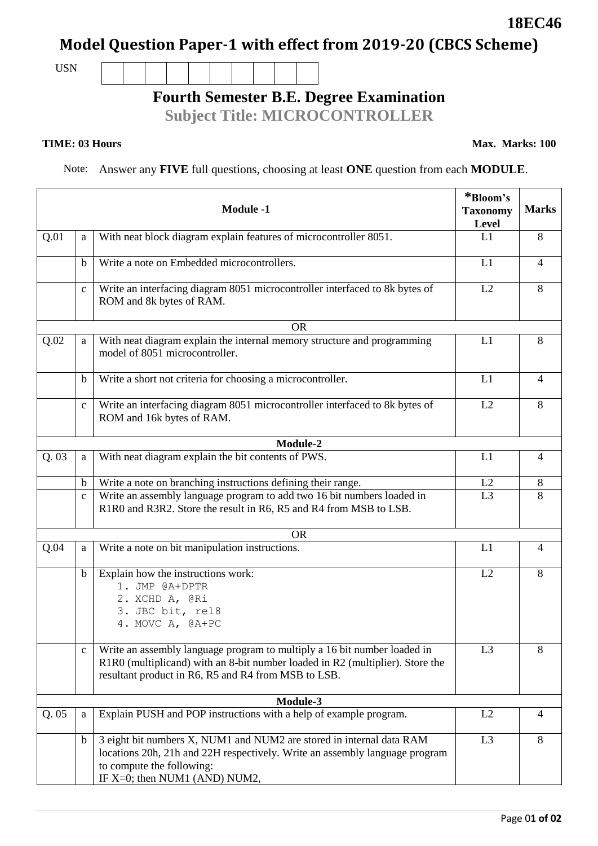Page 0**1 of 02**

# **Model Question Paper-1 with effect from 2019-20 (CBCS Scheme)**

USN

## **Fourth Semester B.E. Degree Examination**

**Subject Title: MICROCONTROLLER**

#### **TIME: 03 Hours**

Note: Answer any **FIVE** full questions, choosing at least **ONE** question from each **MODULE**.

| <b>Module -1</b> |              |                                                                                                                                                                                                                      | *Bloom's<br><b>Taxonomy</b><br>Level | <b>Marks</b>   |
|------------------|--------------|----------------------------------------------------------------------------------------------------------------------------------------------------------------------------------------------------------------------|--------------------------------------|----------------|
| Q.01             | a            | With neat block diagram explain features of microcontroller 8051.                                                                                                                                                    | L1                                   | 8              |
|                  | $\mathbf b$  | Write a note on Embedded microcontrollers.                                                                                                                                                                           | L1                                   | $\overline{4}$ |
|                  | $\mathbf c$  | Write an interfacing diagram 8051 microcontroller interfaced to 8k bytes of<br>ROM and 8k bytes of RAM.                                                                                                              | L2                                   | 8              |
|                  |              | <b>OR</b>                                                                                                                                                                                                            |                                      |                |
| Q.02             | a            | With neat diagram explain the internal memory structure and programming<br>model of 8051 microcontroller.                                                                                                            | L1                                   | 8              |
|                  | b            | Write a short not criteria for choosing a microcontroller.                                                                                                                                                           | L1                                   | $\overline{4}$ |
|                  | $\mathbf{C}$ | Write an interfacing diagram 8051 microcontroller interfaced to 8k bytes of<br>ROM and 16k bytes of RAM.                                                                                                             | L2                                   | 8              |
|                  |              | Module-2                                                                                                                                                                                                             |                                      |                |
| Q.03             | a            | With neat diagram explain the bit contents of PWS.                                                                                                                                                                   | L1                                   | $\overline{4}$ |
|                  | $\mathbf b$  | Write a note on branching instructions defining their range.                                                                                                                                                         | L2                                   | 8              |
|                  | $\mathbf{C}$ | Write an assembly language program to add two 16 bit numbers loaded in<br>R1R0 and R3R2. Store the result in R6, R5 and R4 from MSB to LSB.                                                                          | L3                                   | 8              |
|                  |              | <b>OR</b>                                                                                                                                                                                                            |                                      |                |
| Q.04             | a            | Write a note on bit manipulation instructions.                                                                                                                                                                       | L1                                   | $\overline{4}$ |
|                  | $\mathbf b$  | Explain how the instructions work:<br>1. JMP @A+DPTR<br>2. XCHD A, @Ri<br>3. JBC bit, rel8<br>4. MOVC A, @A+PC                                                                                                       | L2                                   | 8              |
|                  | $\mathbf{C}$ | Write an assembly language program to multiply a 16 bit number loaded in<br>R1R0 (multiplicand) with an 8-bit number loaded in R2 (multiplier). Store the<br>resultant product in R6, R5 and R4 from MSB to LSB.     | L <sub>3</sub>                       | 8              |
|                  |              | Module-3                                                                                                                                                                                                             |                                      |                |
| Q.05             | a            | Explain PUSH and POP instructions with a help of example program.                                                                                                                                                    | L2                                   | 4              |
|                  | $\mathbf b$  | 3 eight bit numbers X, NUM1 and NUM2 are stored in internal data RAM<br>locations 20h, 21h and 22H respectively. Write an assembly language program<br>to compute the following:<br>IF $X=0$ ; then NUM1 (AND) NUM2, | L3                                   | 8              |

**18EC46**

**Max. Marks: 100**